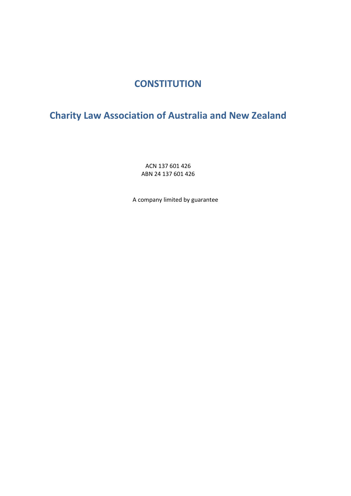# **CONSTITUTION**

# <span id="page-0-1"></span><span id="page-0-0"></span>**Charity Law Association of Australia and New Zealand**

ACN 137 601 426 ABN 24 137 601 426

A company limited by guarantee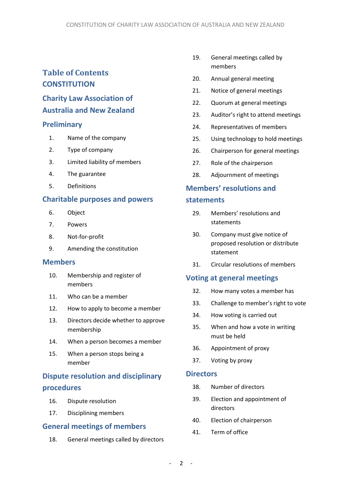# **Table of Contents [CONSTITUTION](#page-0-0)**

# **[Charity Law Association of](#page-0-1)  [Australia and New Zealand](#page-0-1)**

#### **[Preliminary](#page-3-0)**

- 1. [Name of the company](#page-3-1)
- 2. [Type of company](#page-3-2)
- 3. [Limited liability of members](#page-3-3)
- 4. [The guarantee](#page-3-4)
- 5. [Definitions](#page-3-5)

#### **[Charitable purposes and powers](#page-3-6)**

- 6. [Object](#page-3-7)
- 7. [Powers](#page-4-0)
- 8. [Not-for-profit](#page-4-1)
- 9. [Amending the constitution](#page-4-2)

#### **[Members](#page-4-3)**

- 10. [Membership and register of](#page-4-4)  [members](#page-4-4)
- 11. [Who can be a member](#page-5-0)
- 12. [How to apply to become a member](#page-5-1)
- 13. [Directors decide whether to approve](#page-5-2)  [membership](#page-5-2)
- 14. [When a person becomes a member](#page-5-3)
- 15. [When a person stops being a](#page-5-4)  [member](#page-5-4)

# **[Dispute resolution and disciplinary](#page-6-0)  [procedures](#page-6-0)**

- 16. [Dispute resolution](#page-6-1)
- 17. [Disciplining members](#page-6-2)

#### **[General meetings of members](#page-7-0)**

18. [General meetings called by directors](#page-7-1)

- 19. [General meetings called by](#page-8-0)  [members](#page-8-0)
- 20. [Annual general meeting](#page-8-1)
- 21. [Notice of general meetings](#page-8-2)
- 22. [Quorum at general meetings](#page-9-0)
- 23. [Auditor's right to attend meetings](#page-10-0)
- 24. [Representatives of members](#page-10-1)
- 25. [Using technology to hold meetings](#page-10-2)
- 26. [Chairperson for general meetings](#page-10-3)
- 27. [Role of the chairperson](#page-10-4)
- 28. [Adjournment of meetings](#page-11-0)

# **[Members' resolutions and](#page-11-1)  [statements](#page-11-1)**

- 29. [Members' resolutions and](#page-11-2)  [statements](#page-11-2)
- 30. [Company must give notice of](#page-11-3)  [proposed resolution or distribute](#page-11-3)  [statement](#page-11-3)
- 31. [Circular resolutions of members](#page-12-0)

#### **[Voting at general meetings](#page-12-1)**

- 32. [How many votes a member has](#page-12-2)
- 33. [Challenge to member's right to vote](#page-12-3)
- 34. [How voting is carried out](#page-12-4)
- 35. [When and how a vote in writing](#page-13-0)  [must be held](#page-13-0)
- 36. [Appointment of proxy](#page-13-1)
- 37. [Voting by proxy](#page-14-0)

#### **[Directors](#page-14-1)**

- 38. [Number of directors](#page-14-2)
- 39. [Election and appointment of](#page-14-3)  [directors](#page-14-3)
- 40. [Election of chairperson](#page-15-0)
- 41. [Term of office](#page-15-1)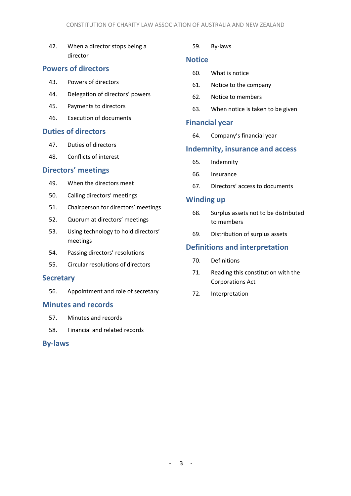42. [When a director stops being a](#page-15-2)  [director](#page-15-2)

### **[Powers of directors](#page-16-0)**

- 43. [Powers of directors](#page-16-1)
- 44. [Delegation of directors' power](#page-16-2)s
- 45. [Payments to directors](#page-16-3)
- 46. [Execution of documents](#page-16-4)

#### **[Duties of directors](#page-16-5)**

- 47. [Duties of directors](#page-16-6)
- 48. [Conflicts of interest](#page-17-0)

#### **[Directors' meetings](#page-18-0)**

- 49. [When the directors meet](#page-18-1)
- 50. [Calling directors' meetings](#page-18-2)
- 51. [Chairperson for directors' meetings](#page-18-3)
- 52. [Quorum at directors' meetings](#page-18-4)
- 53. [Using technology to hold directors'](#page-18-5)  [meetings](#page-18-5)
- 54. [Passing directors' resolutions](#page-18-6)
- 55. [Circular resolutions of directors](#page-18-7)

#### **[Secretary](#page-19-0)**

56. [Appointment and role of secretary](#page-19-1)

#### **[Minutes and records](#page-19-2)**

- 57. [Minutes and records](#page-19-3)
- 58. [Financial and related records](#page-20-0)

#### **[By-laws](#page-20-1)**

#### 59. [By-laws](#page-20-2)

#### **[Notice](#page-20-3)**

- 60. [What is notice](#page-20-4)
- 61. [Notice to the company](#page-20-5)
- 62. [Notice to members](#page-20-6)
- 63. [When notice is taken to be given](#page-21-0)

#### **[Financial year](#page-21-1)**

64. [Company's financial year](#page-21-2)

#### **[Indemnity, insurance and access](#page-21-3)**

- 65. [Indemnity](#page-21-4)
- 66. [Insurance](#page-22-0)
- 67. [Directors' access to documents](#page-22-1)

#### **[Winding up](#page-22-2)**

- 68. [Surplus assets not to be distributed](#page-22-3)  [to members](#page-22-3)
- 69. [Distribution of surplus assets](#page-22-4)

#### **[Definitions and interpretation](#page-22-5)**

- 70. [Definitions](#page-22-6)
- 71. [Reading this constitution with the](#page-23-0)  [Corporations Act](#page-23-0)
- 72. [Interpretation](#page-23-1)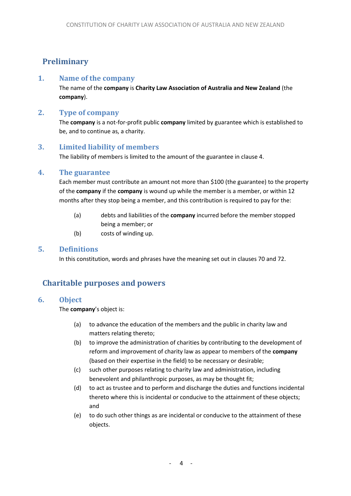# <span id="page-3-0"></span>**Preliminary**

#### <span id="page-3-1"></span>**1. Name of the company**

The name of the **company** is **Charity Law Association of Australia and New Zealand** (the **company**).

#### <span id="page-3-2"></span>**2. Type of company**

The **company** is a not-for-profit public **company** limited by guarantee which is established to be, and to continue as, a charity.

# <span id="page-3-3"></span>**3. Limited liability of members**

The liability of members is limited to the amount of the guarantee in claus[e 4.](#page-3-4)

#### <span id="page-3-4"></span>**4. The guarantee**

Each member must contribute an amount not more than \$100 (the guarantee) to the property of the **company** if the **company** is wound up while the member is a member, or within 12 months after they stop being a member, and this contribution is required to pay for the:

- (a) debts and liabilities of the **company** incurred before the member stopped being a member; or
- (b) costs of winding up.

#### <span id="page-3-5"></span>**5. Definitions**

In this constitution, words and phrases have the meaning set out in clauses [70](#page-22-6) and [72.](#page-23-1)

# <span id="page-3-6"></span>**Charitable purposes and powers**

#### <span id="page-3-7"></span>**6. Object**

The **company**'s object is:

- (a) to advance the education of the members and the public in charity law and matters relating thereto;
- (b) to improve the administration of charities by contributing to the development of reform and improvement of charity law as appear to members of the **company** (based on their expertise in the field) to be necessary or desirable;
- (c) such other purposes relating to charity law and administration, including benevolent and philanthropic purposes, as may be thought fit;
- (d) to act as trustee and to perform and discharge the duties and functions incidental thereto where this is incidental or conducive to the attainment of these objects; and
- (e) to do such other things as are incidental or conducive to the attainment of these objects.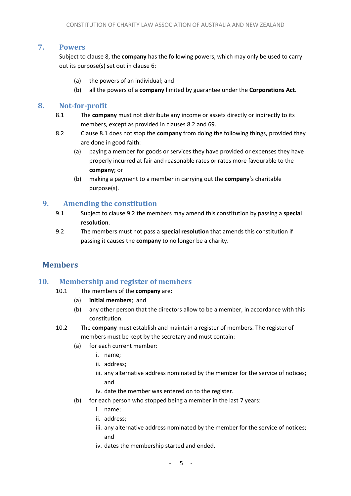#### <span id="page-4-0"></span>**7. Powers**

Subject to clause [8,](#page-4-1) the **company** has the following powers, which may only be used to carry out its purpose(s) set out in clause [6:](#page-3-7)

- (a) the powers of an individual; and
- (b) all the powers of a **company** limited by guarantee under the **Corporations Act**.

### <span id="page-4-6"></span><span id="page-4-1"></span>**8. Not-for-profit**

- 8.1 The **company** must not distribute any income or assets directly or indirectly to its members, except as provided in clauses [8.2](#page-4-5) and [69.](#page-22-4)
- <span id="page-4-5"></span>8.2 Clause [8.1](#page-4-6) does not stop the **company** from doing the following things, provided they are done in good faith:
	- (a) paying a member for goods or services they have provided or expenses they have properly incurred at fair and reasonable rates or rates more favourable to the **company**; or
	- (b) making a payment to a member in carrying out the **company**'s charitable purpose(s).

# <span id="page-4-2"></span>**9. Amending the constitution**

- 9.1 Subject to clause [9.2](#page-4-7) the members may amend this constitution by passing a **special resolution**.
- <span id="page-4-7"></span>9.2 The members must not pass a **special resolution** that amends this constitution if passing it causes the **company** to no longer be a charity.

# <span id="page-4-3"></span>**Members**

# <span id="page-4-4"></span>**10. Membership and register of members**

- 10.1 The members of the **company** are:
	- (a) **initial members**;and
	- (b) any other person that the directors allow to be a member, in accordance with this constitution.
- 10.2 The **company** must establish and maintain a register of members. The register of members must be kept by the secretary and must contain:
	- (a) for each current member:
		- i. name;
		- ii. address;
		- iii. any alternative address nominated by the member for the service of notices; and
		- iv. date the member was entered on to the register.
	- (b) for each person who stopped being a member in the last 7 years:
		- i. name;
		- ii. address;
		- iii. any alternative address nominated by the member for the service of notices; and
		- iv. dates the membership started and ended.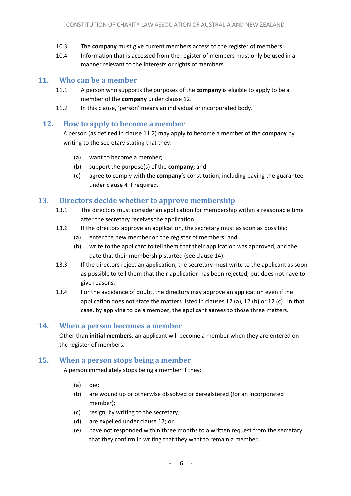- 10.3 The **company** must give current members access to the register of members.
- 10.4 Information that is accessed from the register of members must only be used in a manner relevant to the interests or rights of members.

# <span id="page-5-0"></span>**11. Who can be a member**

- 11.1 A person who supports the purposes of the **company** is eligible to apply to be a member of the **company** under clause [12.](#page-5-1)
- <span id="page-5-5"></span>11.2 In this clause, 'person' means an individual or incorporated body.

### <span id="page-5-1"></span>**12. How to apply to become a member**

<span id="page-5-6"></span>A person (as defined in clause [11.2\)](#page-5-5) may apply to become a member of the **company** by writing to the secretary stating that they:

- (a) want to become a member;
- <span id="page-5-7"></span>(b) support the purpose(s) of the **company;** and
- (c) agree to comply with the **company**'s constitution, including paying the guarantee under clause 4 if required.

# <span id="page-5-8"></span><span id="page-5-2"></span>**13. Directors decide whether to approve membership**

- 13.1 The directors must consider an application for membership within a reasonable time after the secretary receives the application.
- 13.2 If the directors approve an application, the secretary must as soon as possible:
	- (a) enter the new member on the register of members; and
	- (b) write to the applicant to tell them that their application was approved, and the date that their membership started (see clause [14\)](#page-5-3).
- 13.3 If the directors reject an application, the secretary must write to the applicant as soon as possible to tell them that their application has been rejected, but does not have to give reasons.
- 13.4 For the avoidance of doubt, the directors may approve an application even if the application does not state the matters listed in clauses 12 [\(a\),](#page-5-6) 12 [\(b\)](#page-5-7) or 12 [\(c\).](#page-5-8) In that case, by applying to be a member, the applicant agrees to those three matters.

# <span id="page-5-3"></span>**14. When a person becomes a member**

Other than **initial members**, an applicant will become a member when they are entered on the register of members.

# <span id="page-5-4"></span>**15. When a person stops being a member**

A person immediately stops being a member if they:

- (a) die;
- (b) are wound up or otherwise dissolved or deregistered (for an incorporated member);
- (c) resign, by writing to the secretary;
- (d) are expelled under clause [17;](#page-6-2) or
- (e) have not responded within three months to a written request from the secretary that they confirm in writing that they want to remain a member.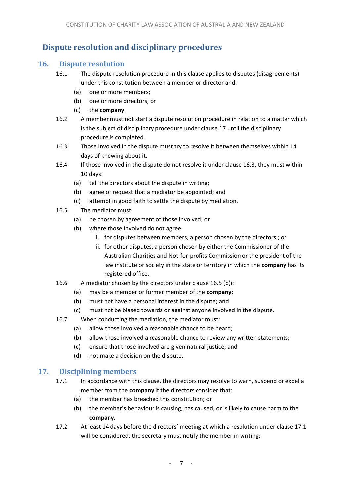# <span id="page-6-0"></span>**Dispute resolution and disciplinary procedures**

### <span id="page-6-1"></span>**16. Dispute resolution**

- 16.1 The dispute resolution procedure in this clause applies to disputes (disagreements) under this constitution between a member or director and:
	- (a) one or more members;
	- (b) one or more directors; or
	- (c) the **company**.
- 16.2 A member must not start a dispute resolution procedure in relation to a matter which is the subject of disciplinary procedure under clause [17](#page-6-2) until the disciplinary procedure is completed.
- <span id="page-6-3"></span>16.3 Those involved in the dispute must try to resolve it between themselves within 14 days of knowing about it.
- 16.4 If those involved in the dispute do not resolve it under clause [16.3,](#page-6-3) they must within 10 days:
	- (a) tell the directors about the dispute in writing;
	- (b) agree or request that a mediator be appointed; and
	- (c) attempt in good faith to settle the dispute by mediation.
- <span id="page-6-4"></span>16.5 The mediator must:
	- (a) be chosen by agreement of those involved; or
	- (b) where those involved do not agree:
		- i. for disputes between members, a person chosen by the directors,; or
		- ii. for other disputes, a person chosen by either the Commissioner of the Australian Charities and Not-for-profits Commission or the president of the law institute or society in the state or territory in which the **company** has its registered office.
- 16.6 A mediator chosen by the directors under claus[e 16.5 \(b\)i:](#page-6-4)
	- (a) may be a member or former member of the **company**;
	- (b) must not have a personal interest in the dispute; and
	- (c) must not be biased towards or against anyone involved in the dispute.
- 16.7 When conducting the mediation, the mediator must:
	- (a) allow those involved a reasonable chance to be heard;
	- (b) allow those involved a reasonable chance to review any written statements;
	- (c) ensure that those involved are given natural justice; and
	- (d) not make a decision on the dispute.

# <span id="page-6-5"></span><span id="page-6-2"></span>**17. Disciplining members**

- 17.1 In accordance with this clause, the directors may resolve to warn, suspend or expel a member from the **company** if the directors consider that:
	- (a) the member has breached this constitution; or
	- (b) the member's behaviour is causing, has caused, or is likely to cause harm to the **company**.
- 17.2 At least 14 days before the directors' meeting at which a resolution under clause [17.1](#page-6-5) will be considered, the secretary must notify the member in writing: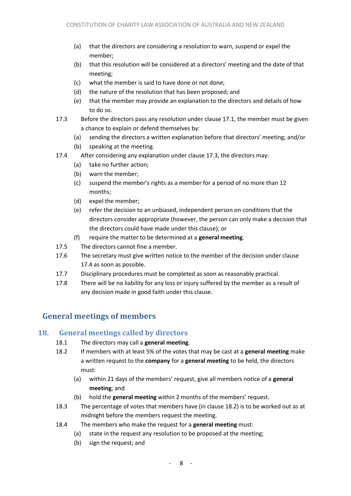- (a) that the directors are considering a resolution to warn, suspend or expel the member;
- (b) that this resolution will be considered at a directors' meeting and the date of that meeting;
- (c) what the member is said to have done or not done;
- (d) the nature of the resolution that has been proposed; and
- (e) that the member may provide an explanation to the directors and details of how to do so.
- <span id="page-7-2"></span>17.3 Before the directors pass any resolution under claus[e 17.1,](#page-6-5) the member must be given a chance to explain or defend themselves by:
	- (a) sending the directors a written explanation before that directors' meeting; and/or
	- (b) speaking at the meeting.
- <span id="page-7-3"></span>17.4 After considering any explanation under clause [17.3,](#page-7-2) the directors may:
	- (a) take no further action;
	- (b) warn the member;
	- (c) suspend the member's rights as a member for a period of no more than 12 months;
	- (d) expel the member;
	- (e) refer the decision to an unbiased, independent person on conditions that the directors consider appropriate (however, the person can only make a decision that the directors could have made under this clause); or
	- (f) require the matter to be determined at a **general meeting**.
- 17.5 The directors cannot fine a member.
- 17.6 The secretary must give written notice to the member of the decision under clause [17.4](#page-7-3) as soon as possible.
- 17.7 Disciplinary procedures must be completed as soon as reasonably practical.
- 17.8 There will be no liability for any loss or injury suffered by the member as a result of any decision made in good faith under this clause.

# <span id="page-7-0"></span>**General meetings of members**

# <span id="page-7-1"></span>**18. General meetings called by directors**

- 18.1 The directors may call a **general meeting**.
- <span id="page-7-4"></span>18.2 If members with at least 5% of the votes that may be cast at a **general meeting** make a written request to the **company** for a **general meeting** to be held, the directors must:
	- (a) within 21 days of the members' request, give all members notice of a **general meeting**; and
	- (b) hold the **general meeting** within 2 months of the members' request.
- 18.3 The percentage of votes that members have (in clause [18.2\)](#page-7-4) is to be worked out as at midnight before the members request the meeting.
- 18.4 The members who make the request for a **general meeting** must:
	- (a) state in the request any resolution to be proposed at the meeting;
	- (b) sign the request; and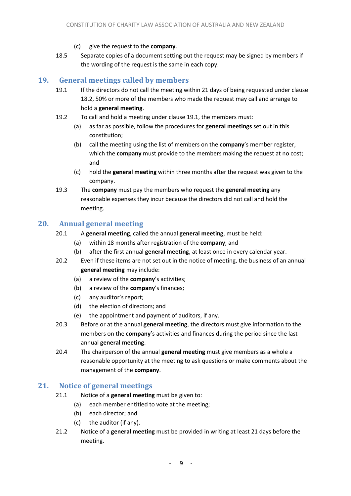- (c) give the request to the **company**.
- 18.5 Separate copies of a document setting out the request may be signed by members if the wording of the request is the same in each copy.

# <span id="page-8-3"></span><span id="page-8-0"></span>**19. General meetings called by members**

- 19.1 If the directors do not call the meeting within 21 days of being requested under clause [18.2,](#page-7-4) 50% or more of the members who made the request may call and arrange to hold a **general meeting**.
- 19.2 To call and hold a meeting under clause [19.1,](#page-8-3) the members must:
	- (a) as far as possible, follow the procedures for **general meetings** set out in this constitution;
	- (b) call the meeting using the list of members on the **company**'s member register, which the **company** must provide to the members making the request at no cost; and
	- (c) hold the **general meeting** within three months after the request was given to the company.
- 19.3 The **company** must pay the members who request the **general meeting** any reasonable expenses they incur because the directors did not call and hold the meeting.

# <span id="page-8-4"></span><span id="page-8-1"></span>**20. Annual general meeting**

- 20.1 A **general meeting**, called the annual **general meeting**, must be held:
	- (a) within 18 months after registration of the **company**; and
	- (b) after the first annual **general meeting**, at least once in every calendar year.
- 20.2 Even if these items are not set out in the notice of meeting, the business of an annual **general meeting** may include:
	- (a) a review of the **company**'s activities;
	- (b) a review of the **company**'s finances;
	- (c) any auditor's report;
	- (d) the election of directors; and
	- (e) the appointment and payment of auditors, if any.
- 20.3 Before or at the annual **general meeting**, the directors must give information to the members on the **company**'s activities and finances during the period since the last annual **general meeting**.
- 20.4 The chairperson of the annual **general meeting** must give members as a whole a reasonable opportunity at the meeting to ask questions or make comments about the management of the **company**.

#### <span id="page-8-2"></span>**21. Notice of general meetings**

- 21.1 Notice of a **general meeting** must be given to:
	- (a) each member entitled to vote at the meeting;
	- (b) each director; and
	- (c) the auditor (if any).
- 21.2 Notice of a **general meeting** must be provided in writing at least 21 days before the meeting.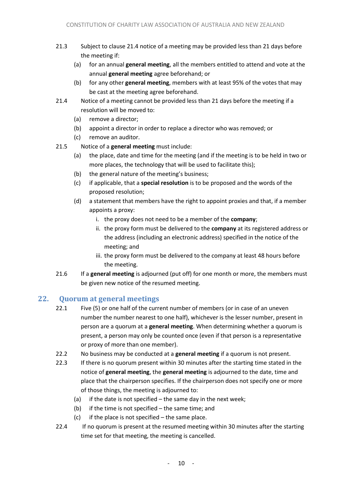- 21.3 Subject to clause [21.4](#page-9-1) notice of a meeting may be provided less than 21 days before the meeting if:
	- (a) for an annual **general meeting**, all the members entitled to attend and vote at the annual **general meeting** agree beforehand; or
	- (b) for any other **general meeting**, members with at least 95% of the votes that may be cast at the meeting agree beforehand.
- <span id="page-9-1"></span>21.4 Notice of a meeting cannot be provided less than 21 days before the meeting if a resolution will be moved to:
	- (a) remove a director;
	- (b) appoint a director in order to replace a director who was removed; or
	- (c) remove an auditor.
- <span id="page-9-3"></span><span id="page-9-2"></span>21.5 Notice of a **general meeting** must include:
	- (a) the place, date and time for the meeting (and if the meeting is to be held in two or more places, the technology that will be used to facilitate this);
	- (b) the general nature of the meeting's business;
	- (c) if applicable, that a **special resolution** is to be proposed and the words of the proposed resolution;
	- (d) a statement that members have the right to appoint proxies and that, if a member appoints a proxy:
		- i. the proxy does not need to be a member of the **company**;
		- ii. the proxy form must be delivered to the **company** at its registered address or the address (including an electronic address) specified in the notice of the meeting; and
		- iii. the proxy form must be delivered to the company at least 48 hours before the meeting.
- 21.6 If a **general meeting** is adjourned (put off) for one month or more, the members must be given new notice of the resumed meeting.

# <span id="page-9-0"></span>**22. Quorum at general meetings**

- 22.1 Five (5) or one half of the current number of members (or in case of an uneven number the number nearest to one half), whichever is the lesser number, present in person are a quorum at a **general meeting**. When determining whether a quorum is present, a person may only be counted once (even if that person is a representative or proxy of more than one member).
- 22.2 No business may be conducted at a **general meeting** if a quorum is not present.
- 22.3 If there is no quorum present within 30 minutes after the starting time stated in the notice of **general meeting**, the **general meeting** is adjourned to the date, time and place that the chairperson specifies. If the chairperson does not specify one or more of those things, the meeting is adjourned to:
	- (a) if the date is not specified the same day in the next week;
	- (b) if the time is not specified the same time; and
	- $(c)$  if the place is not specified the same place.
- 22.4 If no quorum is present at the resumed meeting within 30 minutes after the starting time set for that meeting, the meeting is cancelled.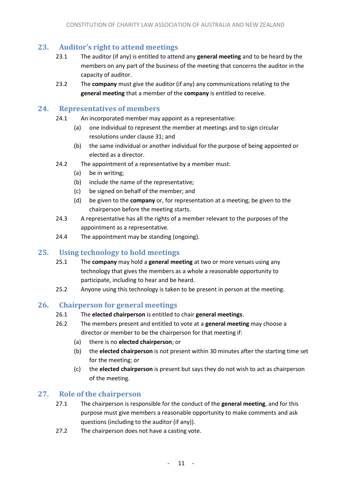# <span id="page-10-0"></span>**23. Auditor's right to attend meetings**

- 23.1 The auditor (if any) is entitled to attend any **general meeting** and to be heard by the members on any part of the business of the meeting that concerns the auditor in the capacity of auditor.
- 23.2 The **company** must give the auditor (if any) any communications relating to the **general meeting** that a member of the **company** is entitled to receive.

#### <span id="page-10-1"></span>**24. Representatives of members**

- 24.1 An incorporated member may appoint as a representative:
	- (a) one individual to represent the member at meetings and to sign circular resolutions under clause [31;](#page-12-0) and
	- (b) the same individual or another individual for the purpose of being appointed or elected as a director.
- 24.2 The appointment of a representative by a member must:
	- (a) be in writing;
	- (b) include the name of the representative;
	- (c) be signed on behalf of the member; and
	- (d) be given to the **company** or, for representation at a meeting; be given to the chairperson before the meeting starts.
- 24.3 A representative has all the rights of a member relevant to the purposes of the appointment as a representative.
- 24.4 The appointment may be standing (ongoing).

# <span id="page-10-2"></span>**25. Using technology to hold meetings**

- 25.1 The **company** may hold a **general meeting** at two or more venues using any technology that gives the members as a whole a reasonable opportunity to participate, including to hear and be heard.
- 25.2 Anyone using this technology is taken to be present in person at the meeting.

# <span id="page-10-3"></span>**26. Chairperson for general meetings**

- 26.1 The **elected chairperson** is entitled to chair **general meetings**.
- <span id="page-10-5"></span>26.2 The members present and entitled to vote at a **general meeting** may choose a director or member to be the chairperson for that meeting if:
	- (a) there is no **elected chairperson**; or
	- (b) the **elected chairperson** is not present within 30 minutes after the starting time set for the meeting; or
	- (c) the **elected chairperson** is present but says they do not wish to act as chairperson of the meeting.

#### <span id="page-10-4"></span>**27. Role of the chairperson**

- 27.1 The chairperson is responsible for the conduct of the **general meeting**, and for this purpose must give members a reasonable opportunity to make comments and ask questions (including to the auditor (if any)).
- 27.2 The chairperson does not have a casting vote.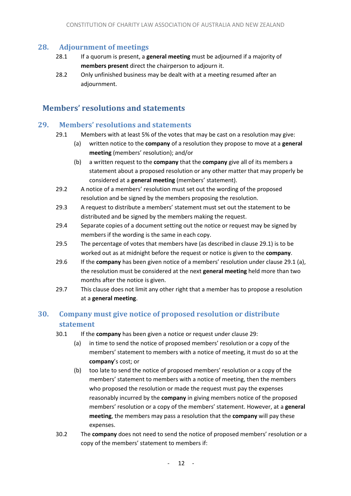#### <span id="page-11-0"></span>**28. Adjournment of meetings**

- 28.1 If a quorum is present, a **general meeting** must be adjourned if a majority of **members present** direct the chairperson to adjourn it.
- 28.2 Only unfinished business may be dealt with at a meeting resumed after an adjournment.

# <span id="page-11-1"></span>**Members' resolutions and statements**

#### <span id="page-11-4"></span><span id="page-11-2"></span>**29. Members' resolutions and statements**

- <span id="page-11-5"></span>29.1 Members with at least 5% of the votes that may be cast on a resolution may give:
	- (a) written notice to the **company** of a resolution they propose to move at a **general meeting** (members' resolution); and/or
	- (b) a written request to the **company** that the **company** give all of its members a statement about a proposed resolution or any other matter that may properly be considered at a **general meeting** (members' statement).
- 29.2 A notice of a members' resolution must set out the wording of the proposed resolution and be signed by the members proposing the resolution.
- 29.3 A request to distribute a members' statement must set out the statement to be distributed and be signed by the members making the request.
- 29.4 Separate copies of a document setting out the notice or request may be signed by members if the wording is the same in each copy.
- 29.5 The percentage of votes that members have (as described in clause [29.1\)](#page-11-4) is to be worked out as at midnight before the request or notice is given to the **company**.
- 29.6 If the **company** has been given notice of a members' resolution under clause [29.1 \(a\),](#page-11-5) the resolution must be considered at the next **general meeting** held more than two months after the notice is given.
- 29.7 This clause does not limit any other right that a member has to propose a resolution at a **general meeting**.

# <span id="page-11-3"></span>**30. Company must give notice of proposed resolution or distribute statement**

- <span id="page-11-6"></span>30.1 If the **company** has been given a notice or request under clause [29:](#page-11-2)
	- (a) in time to send the notice of proposed members' resolution or a copy of the members' statement to members with a notice of meeting, it must do so at the **company**'s cost; or
	- (b) too late to send the notice of proposed members' resolution or a copy of the members' statement to members with a notice of meeting, then the members who proposed the resolution or made the request must pay the expenses reasonably incurred by the **company** in giving members notice of the proposed members' resolution or a copy of the members' statement. However, at a **general meeting**, the members may pass a resolution that the **company** will pay these expenses.
- 30.2 The **company** does not need to send the notice of proposed members' resolution or a copy of the members' statement to members if: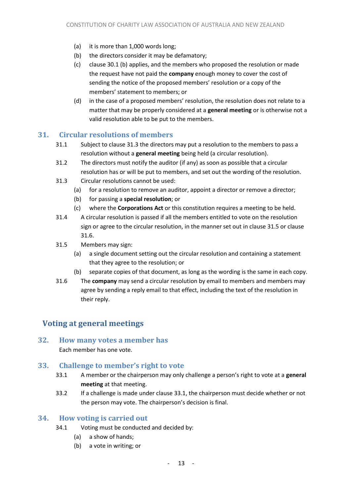- (a) it is more than 1,000 words long;
- (b) the directors consider it may be defamatory;
- (c) clause [30.1 \(b\)](#page-11-6) applies, and the members who proposed the resolution or made the request have not paid the **company** enough money to cover the cost of sending the notice of the proposed members' resolution or a copy of the members' statement to members; or
- (d) in the case of a proposed members' resolution, the resolution does not relate to a matter that may be properly considered at a **general meeting** or is otherwise not a valid resolution able to be put to the members.

#### <span id="page-12-0"></span>**31. Circular resolutions of members**

- 31.1 Subject to clause [31.3](#page-12-5) the directors may put a resolution to the members to pass a resolution without a **general meeting** being held (a circular resolution).
- 31.2 The directors must notify the auditor (if any) as soon as possible that a circular resolution has or will be put to members, and set out the wording of the resolution.
- <span id="page-12-5"></span>31.3 Circular resolutions cannot be used:
	- (a) for a resolution to remove an auditor, appoint a director or remove a director;
	- (b) for passing a **special resolution**; or
	- (c) where the **Corporations Act** or this constitution requires a meeting to be held.
- 31.4 A circular resolution is passed if all the members entitled to vote on the resolution sign or agree to the circular resolution, in the manner set out in claus[e 31.5](#page-12-6) or clause [31.6.](#page-12-7)
- <span id="page-12-6"></span>31.5 Members may sign:
	- (a) a single document setting out the circular resolution and containing a statement that they agree to the resolution; or
	- (b) separate copies of that document, as long as the wording is the same in each copy.
- <span id="page-12-7"></span>31.6 The **company** may send a circular resolution by email to members and members may agree by sending a reply email to that effect, including the text of the resolution in their reply.

# <span id="page-12-1"></span>**Voting at general meetings**

# <span id="page-12-2"></span>**32. How many votes a member has**

Each member has one vote.

#### <span id="page-12-8"></span><span id="page-12-3"></span>**33. Challenge to member's right to vote**

- 33.1 A member or the chairperson may only challenge a person's right to vote at a **general meeting** at that meeting.
- 33.2 If a challenge is made under clause [33.1,](#page-12-8) the chairperson must decide whether or not the person may vote. The chairperson's decision is final.

#### <span id="page-12-4"></span>**34. How voting is carried out**

- 34.1 Voting must be conducted and decided by:
	- (a) a show of hands;
	- (b) a vote in writing; or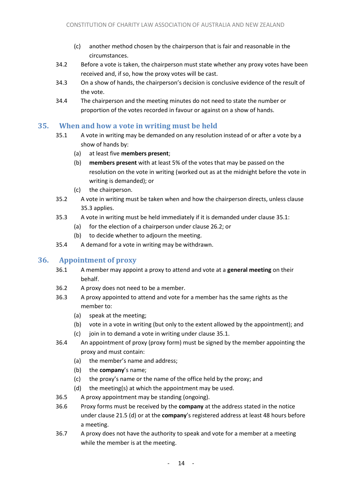- (c) another method chosen by the chairperson that is fair and reasonable in the circumstances.
- 34.2 Before a vote is taken, the chairperson must state whether any proxy votes have been received and, if so, how the proxy votes will be cast.
- 34.3 On a show of hands, the chairperson's decision is conclusive evidence of the result of the vote.
- 34.4 The chairperson and the meeting minutes do not need to state the number or proportion of the votes recorded in favour or against on a show of hands.

# <span id="page-13-3"></span><span id="page-13-0"></span>**35. When and how a vote in writing must be held**

- 35.1 A vote in writing may be demanded on any resolution instead of or after a vote by a show of hands by:
	- (a) at least five **members present**;
	- (b) **members present** with at least 5% of the votes that may be passed on the resolution on the vote in writing (worked out as at the midnight before the vote in writing is demanded); or
	- (c) the chairperson.
- 35.2 A vote in writing must be taken when and how the chairperson directs, unless clause [35.3](#page-13-2) applies.
- <span id="page-13-2"></span>35.3 A vote in writing must be held immediately if it is demanded under clause [35.1:](#page-13-3)
	- (a) for the election of a chairperson under clause [26.2;](#page-10-5) or
	- (b) to decide whether to adjourn the meeting.
- 35.4 A demand for a vote in writing may be withdrawn.

# <span id="page-13-1"></span>**36. Appointment of proxy**

- 36.1 A member may appoint a proxy to attend and vote at a **general meeting** on their behalf.
- 36.2 A proxy does not need to be a member.
- 36.3 A proxy appointed to attend and vote for a member has the same rights as the member to:
	- (a) speak at the meeting;
	- (b) vote in a vote in writing (but only to the extent allowed by the appointment); and
	- $(c)$  join in to demand a vote in writing under clause [35.1.](#page-13-3)
- 36.4 An appointment of proxy (proxy form) must be signed by the member appointing the proxy and must contain:
	- (a) the member's name and address;
	- (b) the **company**'s name;
	- (c) the proxy's name or the name of the office held by the proxy; and
	- (d) the meeting(s) at which the appointment may be used.
- 36.5 A proxy appointment may be standing (ongoing).
- <span id="page-13-4"></span>36.6 Proxy forms must be received by the **company** at the address stated in the notice under clause [21.5 \(d\)](#page-9-2) or at the **company**'s registered address at least 48 hours before a meeting.
- 36.7 A proxy does not have the authority to speak and vote for a member at a meeting while the member is at the meeting.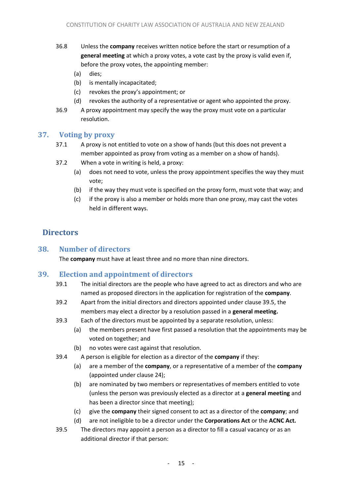- 36.8 Unless the **company** receives written notice before the start or resumption of a **general meeting** at which a proxy votes, a vote cast by the proxy is valid even if, before the proxy votes, the appointing member:
	- (a) dies;
	- (b) is mentally incapacitated;
	- (c) revokes the proxy's appointment; or
	- (d) revokes the authority of a representative or agent who appointed the proxy.
- 36.9 A proxy appointment may specify the way the proxy must vote on a particular resolution.

#### <span id="page-14-0"></span>**37. Voting by proxy**

- 37.1 A proxy is not entitled to vote on a show of hands (but this does not prevent a member appointed as proxy from voting as a member on a show of hands).
- 37.2 When a vote in writing is held, a proxy:
	- (a) does not need to vote, unless the proxy appointment specifies the way they must vote;
	- (b) if the way they must vote is specified on the proxy form, must vote that way; and
	- (c) if the proxy is also a member or holds more than one proxy, may cast the votes held in different ways.

# <span id="page-14-1"></span>**Directors**

# <span id="page-14-2"></span>**38. Number of directors**

The **company** must have at least three and no more than nine directors.

#### <span id="page-14-3"></span>**39. Election and appointment of directors**

- 39.1 The initial directors are the people who have agreed to act as directors and who are named as proposed directors in the application for registration of the **company**.
- 39.2 Apart from the initial directors and directors appointed under clause [39.5,](#page-14-4) the members may elect a director by a resolution passed in a **general meeting.**
- 39.3 Each of the directors must be appointed by a separate resolution, unless:
	- (a) the members present have first passed a resolution that the appointments may be voted on together; and
	- (b) no votes were cast against that resolution.
- 39.4 A person is eligible for election as a director of the **company** if they:
	- (a) are a member of the **company**, or a representative of a member of the **company**  (appointed under clause [24\)](#page-10-1);
	- (b) are nominated by two members or representatives of members entitled to vote (unless the person was previously elected as a director at a **general meeting** and has been a director since that meeting);
	- (c) give the **company** their signed consent to act as a director of the **company**; and
	- (d) are not ineligible to be a director under the **Corporations Act** or the **ACNC Act.**
- <span id="page-14-4"></span>39.5 The directors may appoint a person as a director to fill a casual vacancy or as an additional director if that person: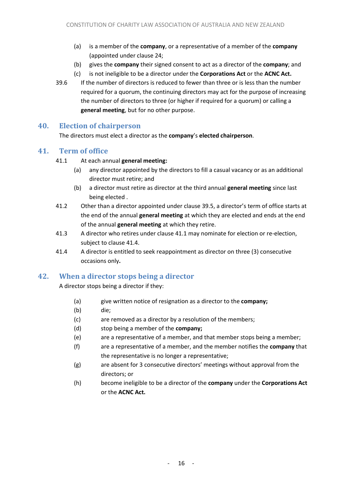- (a) is a member of the **company**, or a representative of a member of the **company**  (appointed under clause [24;](#page-10-1)
- (b) gives the **company** their signed consent to act as a director of the **company**; and
- (c) is not ineligible to be a director under the **Corporations Act** or the **ACNC Act.**
- 39.6 If the number of directors is reduced to fewer than three or is less than the number required for a quorum, the continuing directors may act for the purpose of increasing the number of directors to three (or higher if required for a quorum) or calling a **general meeting**, but for no other purpose.

### <span id="page-15-0"></span>**40. Election of chairperson**

The directors must elect a director as the **company**'s **elected chairperson**.

### <span id="page-15-3"></span><span id="page-15-1"></span>**41. Term of office**

#### 41.1 At each annual **general meeting:**

- (a) any director appointed by the directors to fill a casual vacancy or as an additional director must retire; and
- (b) a director must retire as director at the third annual **general meeting** since last being elected .
- 41.2 Other than a director appointed under clause [39.5](#page-14-4), a director's term of office starts at the end of the annual **general meeting** at which they are elected and ends at the end of the annual **general meeting** at which they retire.
- 41.3 A director who retires under clause [41.1](#page-15-3) may nominate for election or re-election, subject to clause [41.4.](#page-15-4)
- <span id="page-15-4"></span>41.4 A director is entitled to seek reappointment as director on three (3) consecutive occasions only**.**

# <span id="page-15-2"></span>**42. When a director stops being a director**

A director stops being a director if they:

- (a) give written notice of resignation as a director to the **company;**
- (b) die;
- (c) are removed as a director by a resolution of the members;
- (d) stop being a member of the **company;**
- (e) are a representative of a member, and that member stops being a member;
- (f) are a representative of a member, and the member notifies the **company** that the representative is no longer a representative;
- (g) are absent for 3 consecutive directors' meetings without approval from the directors; or
- (h) become ineligible to be a director of the **company** under the **Corporations Act** or the **ACNC Act.**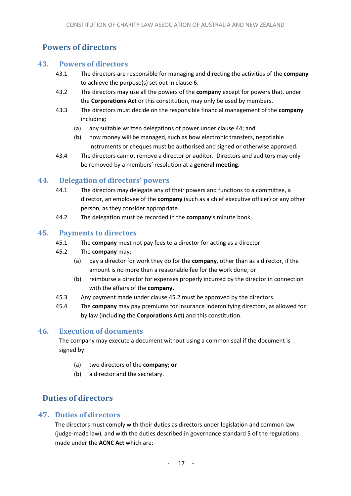# <span id="page-16-0"></span>**Powers of directors**

### <span id="page-16-1"></span>**43. Powers of directors**

- 43.1 The directors are responsible for managing and directing the activities of the **company** to achieve the purpose(s) set out in clause [6.](#page-3-7)
- 43.2 The directors may use all the powers of the **company** except for powers that, under the **Corporations Act** or this constitution, may only be used by members.
- 43.3 The directors must decide on the responsible financial management of the **company** including:
	- (a) any suitable written delegations of power under clause [44;](#page-16-2) and
	- (b) how money will be managed, such as how electronic transfers, negotiable instruments or cheques must be authorised and signed or otherwise approved.
- 43.4 The directors cannot remove a director or auditor. Directors and auditors may only be removed by a members' resolution at a **general meeting.**

# <span id="page-16-2"></span>**44. Delegation of directors' powers**

- 44.1 The directors may delegate any of their powers and functions to a committee, a director, an employee of the **company** (such as a chief executive officer) or any other person, as they consider appropriate.
- 44.2 The delegation must be recorded in the **company**'s minute book.

# <span id="page-16-3"></span>**45. Payments to directors**

- 45.1 The **company** must not pay fees to a director for acting as a director.
- <span id="page-16-7"></span>45.2 The **company** may:
	- (a) pay a director for work they do for the **company**, other than as a director, if the amount is no more than a reasonable fee for the work done; or
	- (b) reimburse a director for expenses properly incurred by the director in connection with the affairs of the **company.**
- 45.3 Any payment made under claus[e 45.2](#page-16-7) must be approved by the directors.
- 45.4 The **company** may pay premiums for insurance indemnifying directors, as allowed for by law (including the **Corporations Act**) and this constitution.

# <span id="page-16-4"></span>**46. Execution of documents**

The company may execute a document without using a common seal if the document is signed by:

- (a) two directors of the **company; or**
- (b) a director and the secretary.

# <span id="page-16-5"></span>**Duties of directors**

# <span id="page-16-6"></span>**47. Duties of directors**

The directors must comply with their duties as directors under legislation and common law (judge-made law), and with the duties described in governance standard 5 of the regulations made under the **ACNC Act** which are: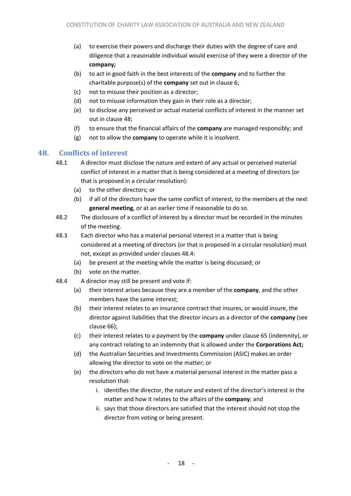- (a) to exercise their powers and discharge their duties with the degree of care and diligence that a reasonable individual would exercise of they were a director of the **company;**
- (b) to act in good faith in the best interests of the **company** and to further the charitable purpose(s) of the **company** set out in clause [6;](#page-3-7)
- (c) not to misuse their position as a director;
- (d) not to misuse information they gain in their role as a director;
- (e) to disclose any perceived or actual material conflicts of interest in the manner set out in clause [48;](#page-17-0)
- (f) to ensure that the financial affairs of the **company** are managed responsibly; and
- (g) not to allow the **company** to operate while it is insolvent.

### <span id="page-17-0"></span>**48. Conflicts of interest**

- 48.1 A director must disclose the nature and extent of any actual or perceived material conflict of interest in a matter that is being considered at a meeting of directors (or that is proposed in a circular resolution):
	- (a) to the other directors; or
	- (b) if all of the directors have the same conflict of interest, to the members at the next **general meeting**, or at an earlier time if reasonable to do so.
- 48.2 The disclosure of a conflict of interest by a director must be recorded in the minutes of the meeting.
- 48.3 Each director who has a material personal interest in a matter that is being considered at a meeting of directors (or that is proposed in a circular resolution) must not, except as provided under clauses [48.4:](#page-17-1)
	- (a) be present at the meeting while the matter is being discussed; or
	- (b) vote on the matter.
- <span id="page-17-1"></span>48.4 A director may still be present and vote if:
	- (a) their interest arises because they are a member of the **company**, and the other members have the same interest;
	- (b) their interest relates to an insurance contract that insures, or would insure, the director against liabilities that the director incurs as a director of the **company** (see clause [66\)](#page-22-0);
	- (c) their interest relates to a payment by the **company** under clause [65](#page-21-4) (indemnity), or any contract relating to an indemnity that is allowed under the **Corporations Act;**
	- (d) the Australian Securities and Investments Commission (ASIC) makes an order allowing the director to vote on the matter; or
	- (e) the directors who do not have a material personal interest in the matter pass a resolution that:
		- i. identifies the director, the nature and extent of the director's interest in the matter and how it relates to the affairs of the **company**; and
		- ii. says that those directors are satisfied that the interest should not stop the director from voting or being present.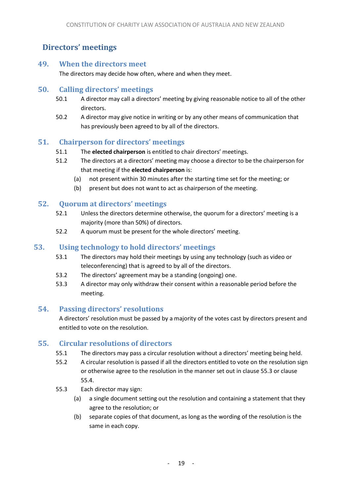# <span id="page-18-0"></span>**Directors' meetings**

#### <span id="page-18-1"></span>**49. When the directors meet**

The directors may decide how often, where and when they meet.

#### <span id="page-18-2"></span>**50. Calling directors' meetings**

- 50.1 A director may call a directors' meeting by giving reasonable notice to all of the other directors.
- 50.2 A director may give notice in writing or by any other means of communication that has previously been agreed to by all of the directors.

#### <span id="page-18-3"></span>**51. Chairperson for directors' meetings**

- 51.1 The **elected chairperson** is entitled to chair directors' meetings.
- 51.2 The directors at a directors' meeting may choose a director to be the chairperson for that meeting if the **elected chairperson** is:
	- (a) not present within 30 minutes after the starting time set for the meeting; or
	- (b) present but does not want to act as chairperson of the meeting.

#### <span id="page-18-4"></span>**52. Quorum at directors' meetings**

- 52.1 Unless the directors determine otherwise, the quorum for a directors' meeting is a majority (more than 50%) of directors.
- 52.2 A quorum must be present for the whole directors' meeting.

#### <span id="page-18-5"></span>**53. Using technology to hold directors' meetings**

- 53.1 The directors may hold their meetings by using any technology (such as video or teleconferencing) that is agreed to by all of the directors.
- 53.2 The directors' agreement may be a standing (ongoing) one.
- 53.3 A director may only withdraw their consent within a reasonable period before the meeting.

#### <span id="page-18-6"></span>**54. Passing directors' resolutions**

A directors' resolution must be passed by a majority of the votes cast by directors present and entitled to vote on the resolution.

#### <span id="page-18-7"></span>**55. Circular resolutions of directors**

- 55.1 The directors may pass a circular resolution without a directors' meeting being held.
- 55.2 A circular resolution is passed if all the directors entitled to vote on the resolution sign or otherwise agree to the resolution in the manner set out in clause [55.3](#page-18-8) or clause [55.4.](#page-19-4)
- <span id="page-18-8"></span>55.3 Each director may sign:
	- (a) a single document setting out the resolution and containing a statement that they agree to the resolution; or
	- (b) separate copies of that document, as long as the wording of the resolution is the same in each copy.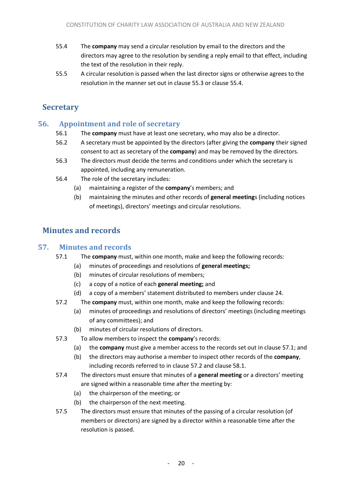- <span id="page-19-4"></span>55.4 The **company** may send a circular resolution by email to the directors and the directors may agree to the resolution by sending a reply email to that effect, including the text of the resolution in their reply.
- 55.5 A circular resolution is passed when the last director signs or otherwise agrees to the resolution in the manner set out in clause [55.3](#page-18-8) or clause [55.4.](#page-19-4)

# <span id="page-19-0"></span>**Secretary**

# <span id="page-19-1"></span>**56. Appointment and role of secretary**

- 56.1 The **company** must have at least one secretary, who may also be a director.
- 56.2 A secretary must be appointed by the directors (after giving the **company** their signed consent to act as secretary of the **company**) and may be removed by the directors.
- 56.3 The directors must decide the terms and conditions under which the secretary is appointed, including any remuneration.
- 56.4 The role of the secretary includes:
	- (a) maintaining a register of the **company**'s members; and
	- (b) maintaining the minutes and other records of **general meeting**s (including notices of meetings), directors' meetings and circular resolutions.

# <span id="page-19-2"></span>**Minutes and records**

### <span id="page-19-5"></span><span id="page-19-3"></span>**57. Minutes and records**

- 57.1 The **company** must, within one month, make and keep the following records:
	- (a) minutes of proceedings and resolutions of **general meetings;**
	- (b) minutes of circular resolutions of members;
	- (c) a copy of a notice of each **general meeting;** and
	- (d) a copy of a members' statement distributed to members under clause 24.
- <span id="page-19-6"></span>57.2 The **company** must, within one month, make and keep the following records:
	- (a) minutes of proceedings and resolutions of directors' meetings (including meetings of any committees); and
	- (b) minutes of circular resolutions of directors.
- 57.3 To allow members to inspect the **company**'s records:
	- (a) the **company** must give a member access to the records set out in clause [57.1;](#page-19-5) and
	- (b) the directors may authorise a member to inspect other records of the **company**, including records referred to in clause [57.2](#page-19-6) and clause [58.1.](#page-20-7)
- 57.4 The directors must ensure that minutes of a **general meeting** or a directors' meeting are signed within a reasonable time after the meeting by:
	- (a) the chairperson of the meeting; or
	- (b) the chairperson of the next meeting.
- 57.5 The directors must ensure that minutes of the passing of a circular resolution (of members or directors) are signed by a director within a reasonable time after the resolution is passed.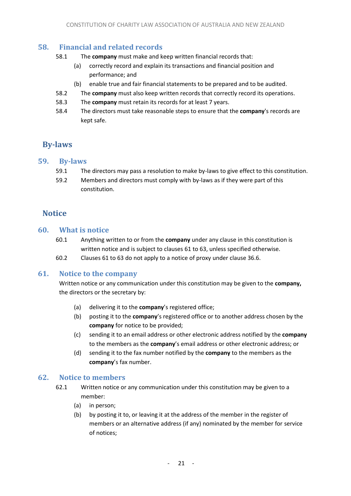### <span id="page-20-7"></span><span id="page-20-0"></span>**58. Financial and related records**

- 58.1 The **company** must make and keep written financial records that:
	- (a) correctly record and explain its transactions and financial position and performance; and
	- (b) enable true and fair financial statements to be prepared and to be audited.
- 58.2 The **company** must also keep written records that correctly record its operations.
- 58.3 The **company** must retain its records for at least 7 years.
- 58.4 The directors must take reasonable steps to ensure that the **company**'s records are kept safe.

# <span id="page-20-1"></span>**By-laws**

#### <span id="page-20-2"></span>**59. By-laws**

- 59.1 The directors may pass a resolution to make by-laws to give effect to this constitution.
- 59.2 Members and directors must comply with by-laws as if they were part of this constitution.

# <span id="page-20-3"></span>**Notice**

### <span id="page-20-4"></span>**60. What is notice**

- 60.1 Anything written to or from the **company** under any clause in this constitution is written notice and is subject to clauses [61](#page-20-5) t[o 63,](#page-21-0) unless specified otherwise.
- 60.2 Clauses [61](#page-20-5) to [63](#page-21-0) do not apply to a notice of proxy under clause [36.6.](#page-13-4)

#### <span id="page-20-5"></span>**61. Notice to the company**

Written notice or any communication under this constitution may be given to the **company,** the directors or the secretary by:

- (a) delivering it to the **company**'s registered office;
- (b) posting it to the **company**'s registered office or to another address chosen by the **company** for notice to be provided;
- (c) sending it to an email address or other electronic address notified by the **company** to the members as the **company**'s email address or other electronic address; or
- (d) sending it to the fax number notified by the **company** to the members as the **company**'s fax number.

#### <span id="page-20-6"></span>**62. Notice to members**

- 62.1 Written notice or any communication under this constitution may be given to a member:
	- (a) in person;
	- (b) by posting it to, or leaving it at the address of the member in the register of members or an alternative address (if any) nominated by the member for service of notices;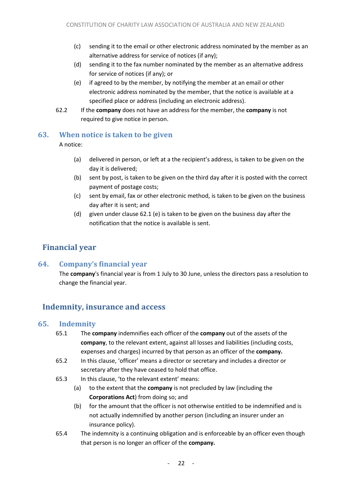- (c) sending it to the email or other electronic address nominated by the member as an alternative address for service of notices (if any);
- (d) sending it to the fax number nominated by the member as an alternative address for service of notices (if any); or
- (e) if agreed to by the member, by notifying the member at an email or other electronic address nominated by the member, that the notice is available at a specified place or address (including an electronic address).
- <span id="page-21-5"></span>62.2 If the **company** does not have an address for the member, the **company** is not required to give notice in person.

#### <span id="page-21-0"></span>**63. When notice is taken to be given**

A notice:

- (a) delivered in person, or left at a the recipient's address, is taken to be given on the day it is delivered;
- (b) sent by post, is taken to be given on the third day after it is posted with the correct payment of postage costs;
- (c) sent by email, fax or other electronic method, is taken to be given on the business day after it is sent; and
- (d) given under claus[e 62.1 \(e\)](#page-21-5) is taken to be given on the business day after the notification that the notice is available is sent.

# <span id="page-21-1"></span>**Financial year**

# <span id="page-21-2"></span>**64. Company's financial year**

The **company**'s financial year is from 1 July to 30 June, unless the directors pass a resolution to change the financial year.

# <span id="page-21-3"></span>**Indemnity, insurance and access**

#### <span id="page-21-4"></span>**65. Indemnity**

- 65.1 The **company** indemnifies each officer of the **company** out of the assets of the **company**, to the relevant extent, against all losses and liabilities (including costs, expenses and charges) incurred by that person as an officer of the **company.**
- 65.2 In this clause, 'officer' means a director or secretary and includes a director or secretary after they have ceased to hold that office.
- 65.3 In this clause, 'to the relevant extent' means:
	- (a) to the extent that the **company** is not precluded by law (including the **Corporations Act**) from doing so; and
	- (b) for the amount that the officer is not otherwise entitled to be indemnified and is not actually indemnified by another person (including an insurer under an insurance policy).
- 65.4 The indemnity is a continuing obligation and is enforceable by an officer even though that person is no longer an officer of the **company.**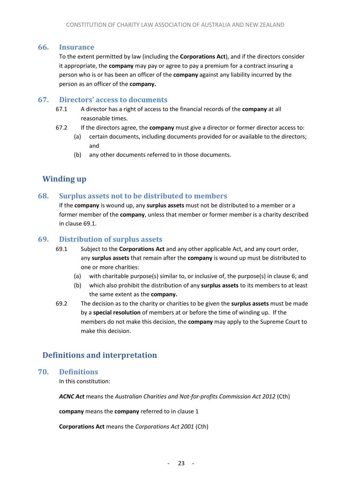#### <span id="page-22-0"></span>**66. Insurance**

To the extent permitted by law (including the **Corporations Act**), and if the directors consider it appropriate, the **company** may pay or agree to pay a premium for a contract insuring a person who is or has been an officer of the **company** against any liability incurred by the person as an officer of the **company.**

#### <span id="page-22-1"></span>**67. Directors' access to documents**

- 67.1 A director has a right of access to the financial records of the **company** at all reasonable times.
- 67.2 If the directors agree, the **company** must give a director or former director access to:
	- (a) certain documents, including documents provided for or available to the directors; and
	- (b) any other documents referred to in those documents.

# <span id="page-22-2"></span>**Winding up**

#### <span id="page-22-3"></span>**68. Surplus assets not to be distributed to members**

If the **company** is wound up, any **surplus assets** must not be distributed to a member or a former member of the **company**, unless that member or former member is a charity described in clause [69.1.](#page-22-7)

#### <span id="page-22-7"></span><span id="page-22-4"></span>**69. Distribution of surplus assets**

- 69.1 Subject to the **Corporations Act** and any other applicable Act, and any court order, any **surplus assets** that remain after the **company** is wound up must be distributed to one or more charities:
	- (a) with charitable purpose(s) similar to, or inclusive of, the purpose(s) in claus[e 6;](#page-3-7) and
	- (b) which also prohibit the distribution of any **surplus assets** to its members to at least the same extent as the **company.**
- 69.2 The decision as to the charity or charities to be given the **surplus assets** must be made by a **special resolution** of members at or before the time of winding up. If the members do not make this decision, the **company** may apply to the Supreme Court to make this decision.

# <span id="page-22-5"></span>**Definitions and interpretation**

#### <span id="page-22-6"></span>**70. Definitions**

In this constitution:

*ACNC Act* means the *Australian Charities and Not-for-profits Commission Act 2012* (Cth)

**company** means the **company** referred to in claus[e 1](#page-3-1)

**Corporations Act** means the *Corporations Act 2001* (Cth)